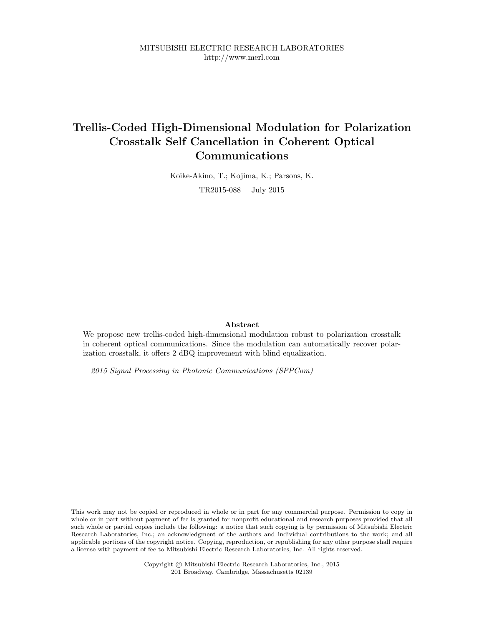MITSUBISHI ELECTRIC RESEARCH LABORATORIES http://www.merl.com

## Trellis-Coded High-Dimensional Modulation for Polarization Crosstalk Self Cancellation in Coherent Optical Communications

Koike-Akino, T.; Kojima, K.; Parsons, K. TR2015-088 July 2015

### Abstract

We propose new trellis-coded high-dimensional modulation robust to polarization crosstalk in coherent optical communications. Since the modulation can automatically recover polarization crosstalk, it offers 2 dBQ improvement with blind equalization.

2015 Signal Processing in Photonic Communications (SPPCom)

This work may not be copied or reproduced in whole or in part for any commercial purpose. Permission to copy in whole or in part without payment of fee is granted for nonprofit educational and research purposes provided that all such whole or partial copies include the following: a notice that such copying is by permission of Mitsubishi Electric Research Laboratories, Inc.; an acknowledgment of the authors and individual contributions to the work; and all applicable portions of the copyright notice. Copying, reproduction, or republishing for any other purpose shall require a license with payment of fee to Mitsubishi Electric Research Laboratories, Inc. All rights reserved.

> Copyright © Mitsubishi Electric Research Laboratories, Inc., 2015 201 Broadway, Cambridge, Massachusetts 02139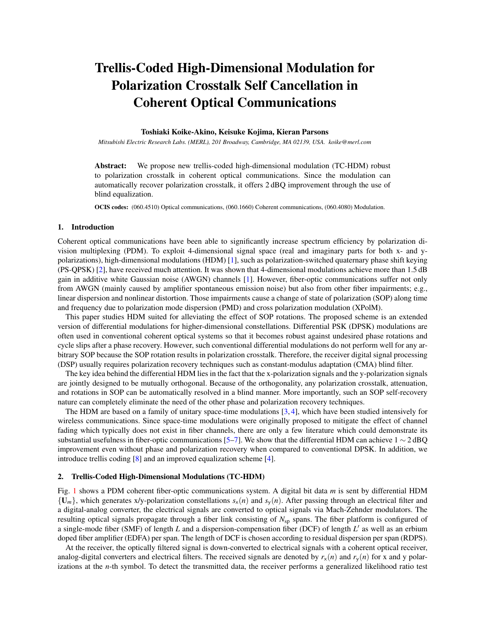# Trellis-Coded High-Dimensional Modulation for Polarization Crosstalk Self Cancellation in Coherent Optical Communications

### Toshiaki Koike-Akino, Keisuke Kojima, Kieran Parsons

*Mitsubishi Electric Research Labs. (MERL), 201 Broadway, Cambridge, MA 02139, USA. koike@merl.com*

Abstract: We propose new trellis-coded high-dimensional modulation (TC-HDM) robust to polarization crosstalk in coherent optical communications. Since the modulation can automatically recover polarization crosstalk, it offers 2 dBQ improvement through the use of blind equalization.

OCIS codes: (060.4510) Optical communications, (060.1660) Coherent communications, (060.4080) Modulation.

### 1. Introduction

Coherent optical communications have been able to significantly increase spectrum efficiency by polarization division multiplexing (PDM). To exploit 4-dimensional signal space (real and imaginary parts for both x- and ypolarizations), high-dimensional modulations (HDM) [1], such as polarization-switched quaternary phase shift keying (PS-QPSK) [2], have received much attention. It was shown that 4-dimensional modulations achieve more than 1.5 dB gain in additive white Gaussian noise (AWGN) channels [1]. However, fiber-optic communications suffer not only from AWGN (mainly caused by amplifier spontaneous emission noise) but also from other fiber impairments; e.g., linear dispersion and nonlinear distortion. Those impairments cause a change of state of polarization (SOP) along time and frequency due to polarization mode dispersion (PMD) and cross polarization modulation (XPolM).

This paper studies HDM suited for alleviating the effect of SOP rotations. The proposed scheme is an extended version of differential modulations for higher-dimensional constellations. Differential PSK (DPSK) modulations are often used in conventional coherent optical systems so that it becomes robust against undesired phase rotations and cycle slips after a phase recovery. However, such conventional differential modulations do not perform well for any arbitrary SOP because the SOP rotation results in polarization crosstalk. Therefore, the receiver digital signal processing (DSP) usually requires polarization recovery techniques such as constant-modulus adaptation (CMA) blind filter.

The key idea behind the differential HDM lies in the fact that the x-polarization signals and the y-polarization signals are jointly designed to be mutually orthogonal. Because of the orthogonality, any polarization crosstalk, attenuation, and rotations in SOP can be automatically resolved in a blind manner. More importantly, such an SOP self-recovery nature can completely eliminate the need of the other phase and polarization recovery techniques.

The HDM are based on a family of unitary space-time modulations [3, 4], which have been studied intensively for wireless communications. Since space-time modulations were originally proposed to mitigate the effect of channel fading which typically does not exist in fiber channels, there are only a few literature which could demonstrate its substantial usefulness in fiber-optic communications [5–7]. We show that the differential HDM can achieve  $1 \sim 2 \text{ dBQ}$ improvement even without phase and polarization recovery when compared to conventional DPSK. In addition, we introduce trellis coding [8] and an improved equalization scheme [4].

#### 2. Trellis-Coded High-Dimensional Modulations (TC-HDM)

Fig. 1 shows a PDM coherent fiber-optic communications system. A digital bit data *m* is sent by differential HDM  ${U_m}$ , which generates x/y-polarization constellations  $s_x(n)$  and  $s_y(n)$ . After passing through an electrical filter and a digital-analog converter, the electrical signals are converted to optical signals via Mach-Zehnder modulators. The resulting optical signals propagate through a fiber link consisting of  $N_{\text{sp}}$  spans. The fiber platform is configured of a single-mode fiber (SMF) of length  $L$  and a dispersion-compensation fiber (DCF) of length  $L'$  as well as an erbium doped fiber amplifier (EDFA) per span. The length of DCF is chosen according to residual dispersion per span (RDPS).

At the receiver, the optically filtered signal is down-converted to electrical signals with a coherent optical receiver, analog-digital converters and electrical filters. The received signals are denoted by  $r<sub>x</sub>(n)$  and  $r<sub>y</sub>(n)$  for x and y polarizations at the *n*-th symbol. To detect the transmitted data, the receiver performs a generalized likelihood ratio test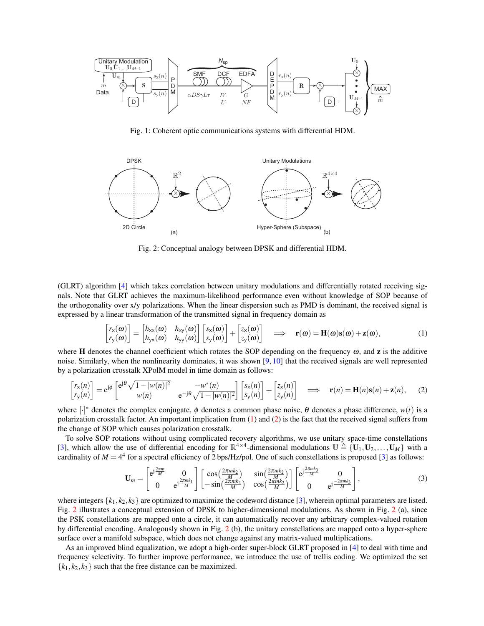

Fig. 1: Coherent optic communications systems with differential HDM.



Fig. 2: Conceptual analogy between DPSK and differential HDM.

(GLRT) algorithm [4] which takes correlation between unitary modulations and differentially rotated receiving signals. Note that GLRT achieves the maximum-likelihood performance even without knowledge of SOP because of the orthogonality over x/y polarizations. When the linear dispersion such as PMD is dominant, the received signal is expressed by a linear transformation of the transmitted signal in frequency domain as

$$
\begin{bmatrix} r_{\mathsf{x}}(\omega) \\ r_{\mathsf{y}}(\omega) \end{bmatrix} = \begin{bmatrix} h_{\mathsf{xx}}(\omega) & h_{\mathsf{xy}}(\omega) \\ h_{\mathsf{yx}}(\omega) & h_{\mathsf{yy}}(\omega) \end{bmatrix} \begin{bmatrix} s_{\mathsf{x}}(\omega) \\ s_{\mathsf{y}}(\omega) \end{bmatrix} + \begin{bmatrix} z_{\mathsf{x}}(\omega) \\ z_{\mathsf{y}}(\omega) \end{bmatrix} \implies \mathbf{r}(\omega) = \mathbf{H}(\omega)\mathbf{s}(\omega) + \mathbf{z}(\omega), \tag{1}
$$

where **H** denotes the channel coefficient which rotates the SOP depending on the frequency  $\omega$ , and **z** is the additive noise. Similarly, when the nonlinearity dominates, it was shown  $[9, 10]$  that the received signals are well represented by a polarization crosstalk XPolM model in time domain as follows:

$$
\begin{bmatrix} r_{\mathsf{x}}(n) \\ r_{\mathsf{y}}(n) \end{bmatrix} = e^{\mathsf{j}\phi} \begin{bmatrix} e^{\mathsf{j}\theta} \sqrt{1-|w(n)|^2} & -w^*(n) \\ w(n) & e^{-\mathsf{j}\theta} \sqrt{1-|w(n)|^2} \end{bmatrix} \begin{bmatrix} s_{\mathsf{x}}(n) \\ s_{\mathsf{y}}(n) \end{bmatrix} + \begin{bmatrix} z_{\mathsf{x}}(n) \\ z_{\mathsf{y}}(n) \end{bmatrix} \implies \mathbf{r}(n) = \mathbf{H}(n)\mathbf{s}(n) + \mathbf{z}(n), \tag{2}
$$

where  $[\cdot]^*$  denotes the complex conjugate,  $\phi$  denotes a common phase noise,  $\theta$  denotes a phase difference,  $w(t)$  is a polarization crosstalk factor. An important implication from (1) and (2) is the fact that the received signal suffers from the change of SOP which causes polarization crosstalk.

To solve SOP rotations without using complicated recovery algorithms, we use unitary space-time constellations [3], which allow the use of differential encoding for  $\mathbb{R}^{4\times4}$ -dimensional modulations  $\mathbb{U} \triangleq \{U_1, U_2, \ldots, U_M\}$  with a cardinality of  $M = 4^4$  for a spectral efficiency of 2 bps/Hz/pol. One of such constellations is proposed [3] as follows:

$$
\mathbf{U}_m = \begin{bmatrix} e^{j\frac{2\pi m}{M}} & 0\\ 0 & e^{j\frac{2\pi mk_1}{M}} \end{bmatrix} \begin{bmatrix} \cos\left(\frac{2\pi mk_2}{M}\right) & \sin\left(\frac{2\pi mk_2}{M}\right)\\ -\sin\left(\frac{2\pi mk_2}{M}\right) & \cos\left(\frac{2\pi mk_2}{M}\right) \end{bmatrix} \begin{bmatrix} e^{j\frac{2\pi mk_3}{M}} & 0\\ 0 & e^{j\frac{-2\pi mk_3}{M}} \end{bmatrix},\tag{3}
$$

where integers  $\{k_1, k_2, k_3\}$  are optimized to maximize the codeword distance [3], wherein optimal parameters are listed. Fig. 2 illustrates a conceptual extension of DPSK to higher-dimensional modulations. As shown in Fig. 2 (a), since the PSK constellations are mapped onto a circle, it can automatically recover any arbitrary complex-valued rotation by differential encoding. Analogously shown in Fig. 2 (b), the unitary constellations are mapped onto a hyper-sphere surface over a manifold subspace, which does not change against any matrix-valued multiplications.

As an improved blind equalization, we adopt a high-order super-block GLRT proposed in [4] to deal with time and frequency selectivity. To further improve performance, we introduce the use of trellis coding. We optimized the set  ${k_1, k_2, k_3}$  such that the free distance can be maximized.